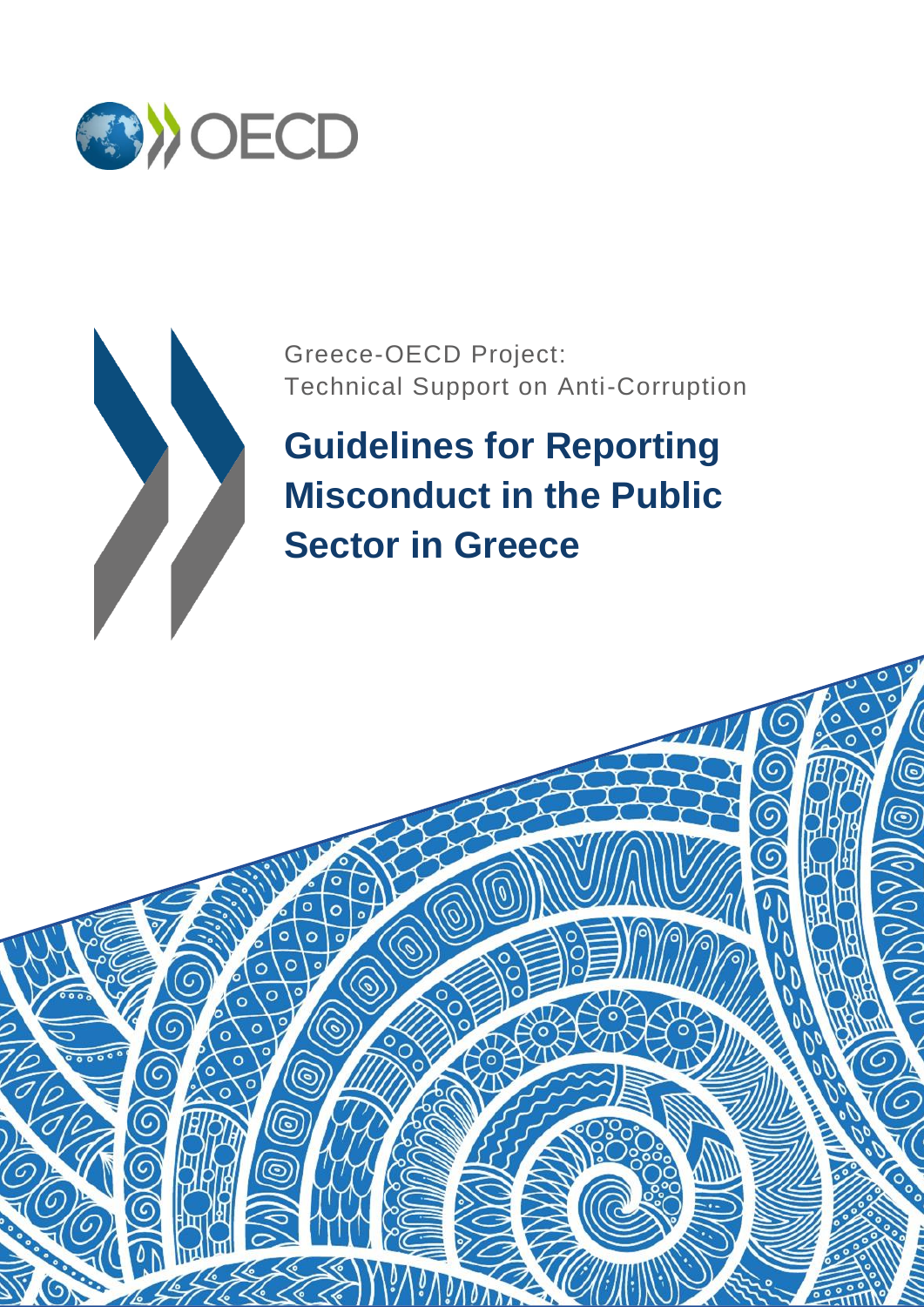



Greece-OECD Project: Technical Support on Anti-Corruption

# **Guidelines for Reporting Misconduct in the Public Sector in Greece**

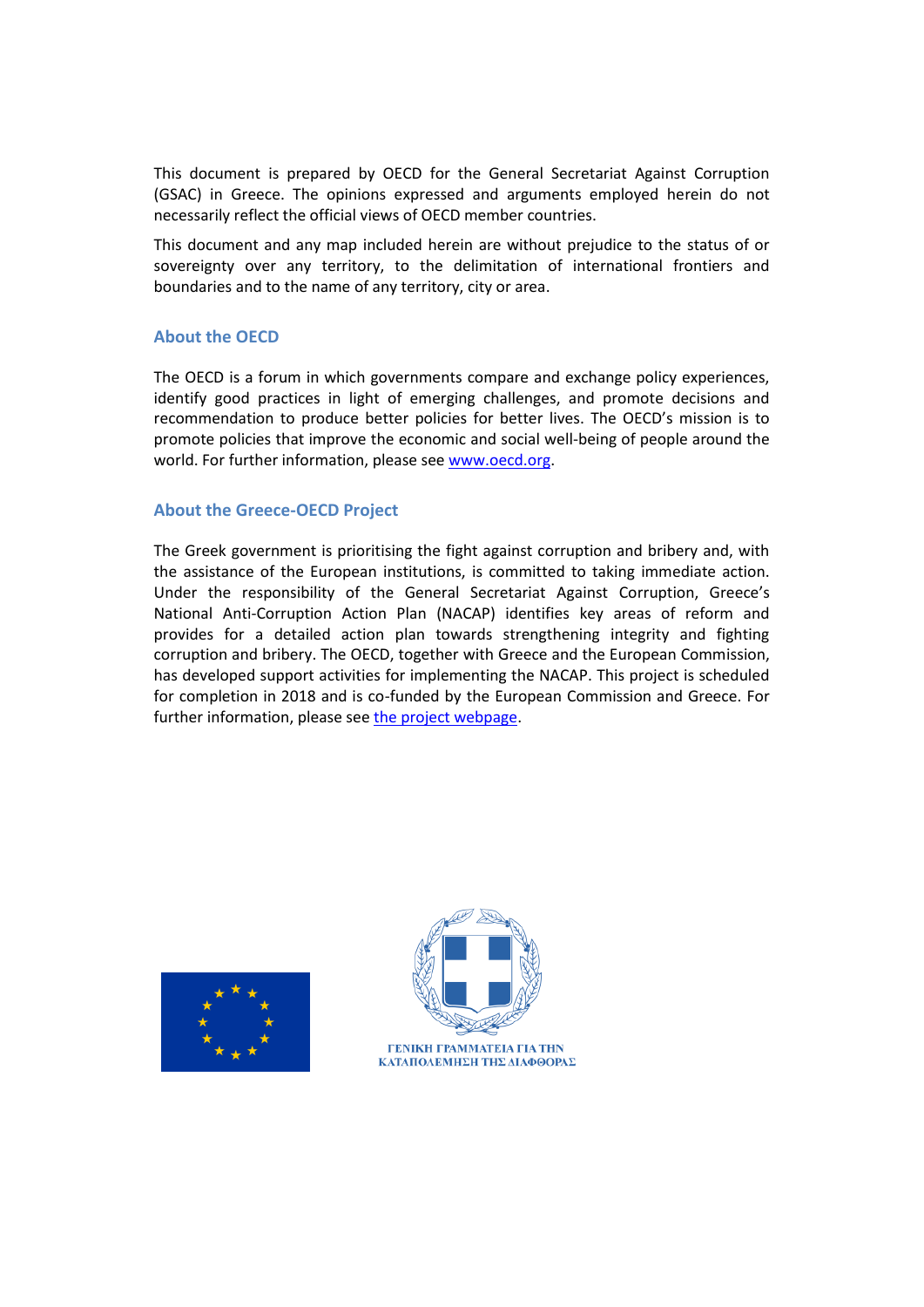This document is prepared by OECD for the General Secretariat Against Corruption (GSAC) in Greece. The opinions expressed and arguments employed herein do not necessarily reflect the official views of OECD member countries.

This document and any map included herein are without prejudice to the status of or sovereignty over any territory, to the delimitation of international frontiers and boundaries and to the name of any territory, city or area.

# **About the OECD**

The OECD is a forum in which governments compare and exchange policy experiences, identify good practices in light of emerging challenges, and promote decisions and recommendation to produce better policies for better lives. The OECD's mission is to promote policies that improve the economic and social well-being of people around the world. For further information, please see [www.oecd.org.](http://www.oecd.org/)

## **About the Greece-OECD Project**

The Greek government is prioritising the fight against corruption and bribery and, with the assistance of the European institutions, is committed to taking immediate action. Under the responsibility of the General Secretariat Against Corruption, Greece's National Anti-Corruption Action Plan (NACAP) identifies key areas of reform and provides for a detailed action plan towards strengthening integrity and fighting corruption and bribery. The OECD, together with Greece and the European Commission, has developed support activities for implementing the NACAP. This project is scheduled for completion in 2018 and is co-funded by the European Commission and Greece. For further information, please see [the project webpage.](http://www.oecd.org/corruption/greece-oecd-anti-corruption.htm)



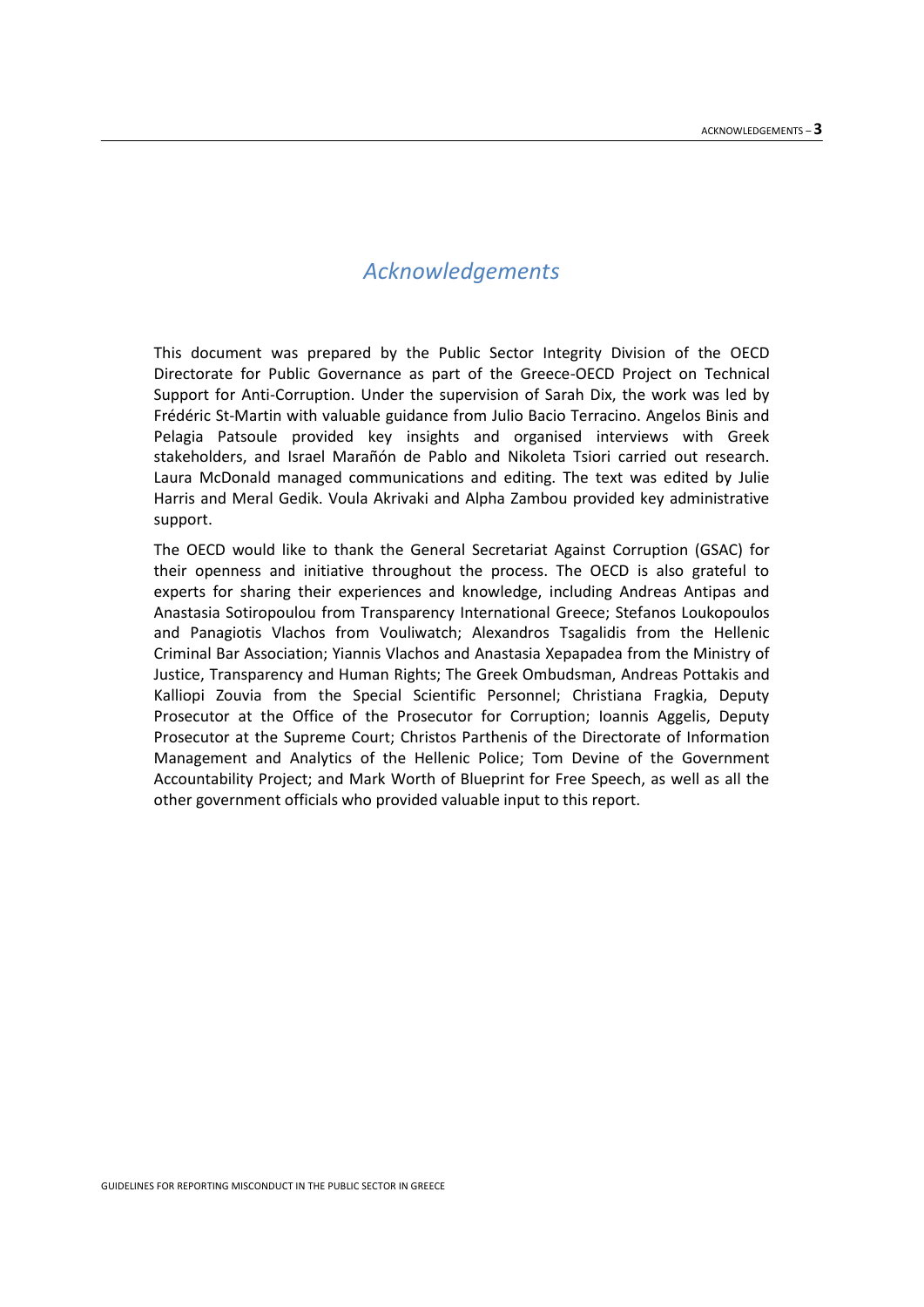# *Acknowledgements*

This document was prepared by the Public Sector Integrity Division of the OECD Directorate for Public Governance as part of the Greece-OECD Project on Technical Support for Anti-Corruption. Under the supervision of Sarah Dix, the work was led by Frédéric St-Martin with valuable guidance from Julio Bacio Terracino. Angelos Binis and Pelagia Patsoule provided key insights and organised interviews with Greek stakeholders, and Israel Marañón de Pablo and Nikoleta Tsiori carried out research. Laura McDonald managed communications and editing. The text was edited by Julie Harris and Meral Gedik. Voula Akrivaki and Alpha Zambou provided key administrative support.

The OECD would like to thank the General Secretariat Against Corruption (GSAC) for their openness and initiative throughout the process. The OECD is also grateful to experts for sharing their experiences and knowledge, including Andreas Antipas and Anastasia Sotiropoulou from Transparency International Greece; Stefanos Loukopoulos and Panagiotis Vlachos from Vouliwatch; Alexandros Tsagalidis from the Hellenic Criminal Bar Association; Yiannis Vlachos and Anastasia Xepapadea from the Ministry of Justice, Transparency and Human Rights; The Greek Ombudsman, Andreas Pottakis and Kalliopi Zouvia from the Special Scientific Personnel; Christiana Fragkia, Deputy Prosecutor at the Office of the Prosecutor for Corruption; Ioannis Aggelis, Deputy Prosecutor at the Supreme Court; Christos Parthenis of the Directorate of Information Management and Analytics of the Hellenic Police; Tom Devine of the Government Accountability Project; and Mark Worth of Blueprint for Free Speech, as well as all the other government officials who provided valuable input to this report.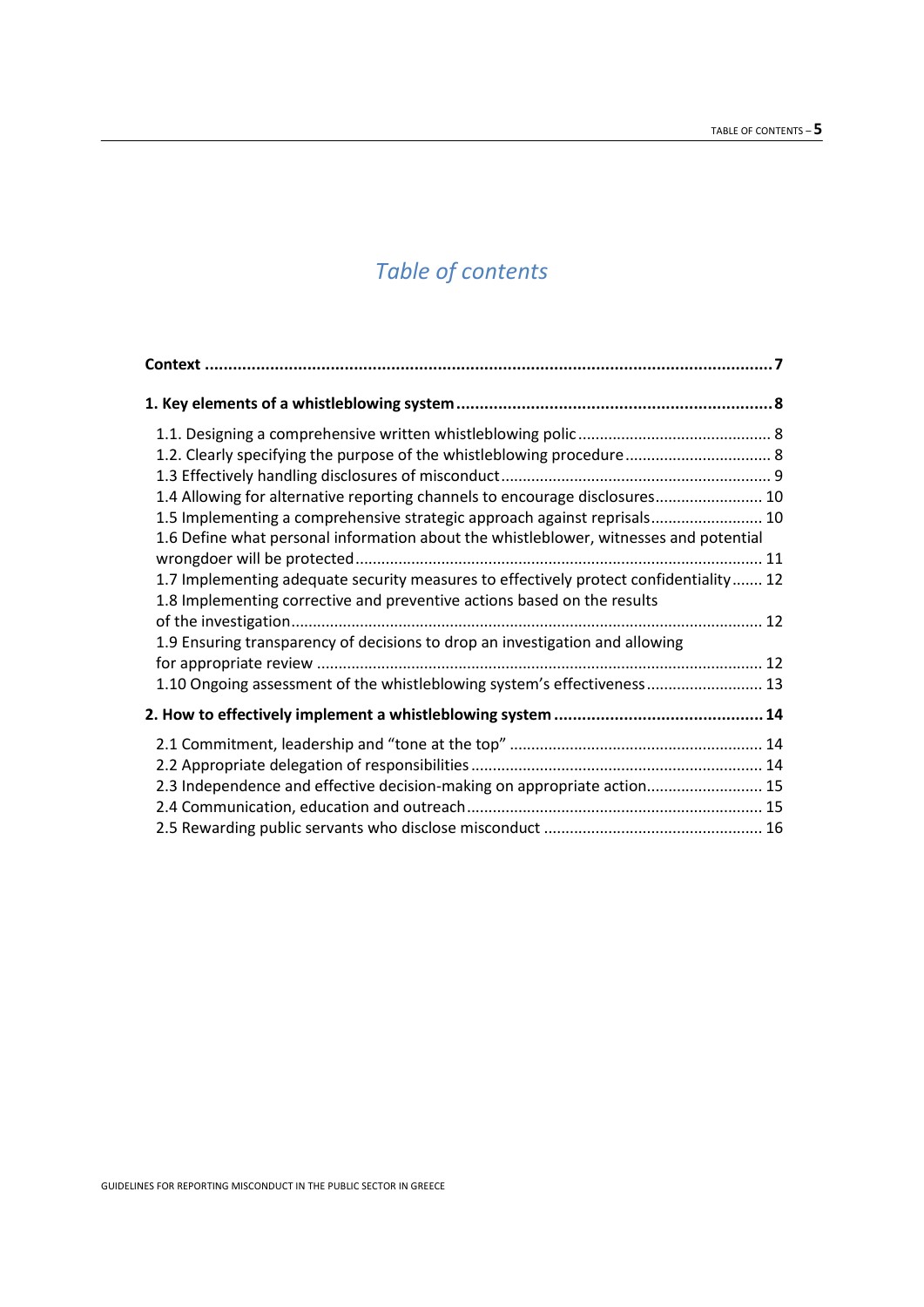# *Table of contents*

| 1.2. Clearly specifying the purpose of the whistleblowing procedure 8                 |  |
|---------------------------------------------------------------------------------------|--|
|                                                                                       |  |
| 1.4 Allowing for alternative reporting channels to encourage disclosures 10           |  |
| 1.5 Implementing a comprehensive strategic approach against reprisals 10              |  |
| 1.6 Define what personal information about the whistleblower, witnesses and potential |  |
|                                                                                       |  |
| 1.7 Implementing adequate security measures to effectively protect confidentiality 12 |  |
| 1.8 Implementing corrective and preventive actions based on the results               |  |
|                                                                                       |  |
| 1.9 Ensuring transparency of decisions to drop an investigation and allowing          |  |
|                                                                                       |  |
| 1.10 Ongoing assessment of the whistleblowing system's effectiveness 13               |  |
|                                                                                       |  |
|                                                                                       |  |
|                                                                                       |  |
|                                                                                       |  |
| 2.3 Independence and effective decision-making on appropriate action 15               |  |
|                                                                                       |  |
|                                                                                       |  |
|                                                                                       |  |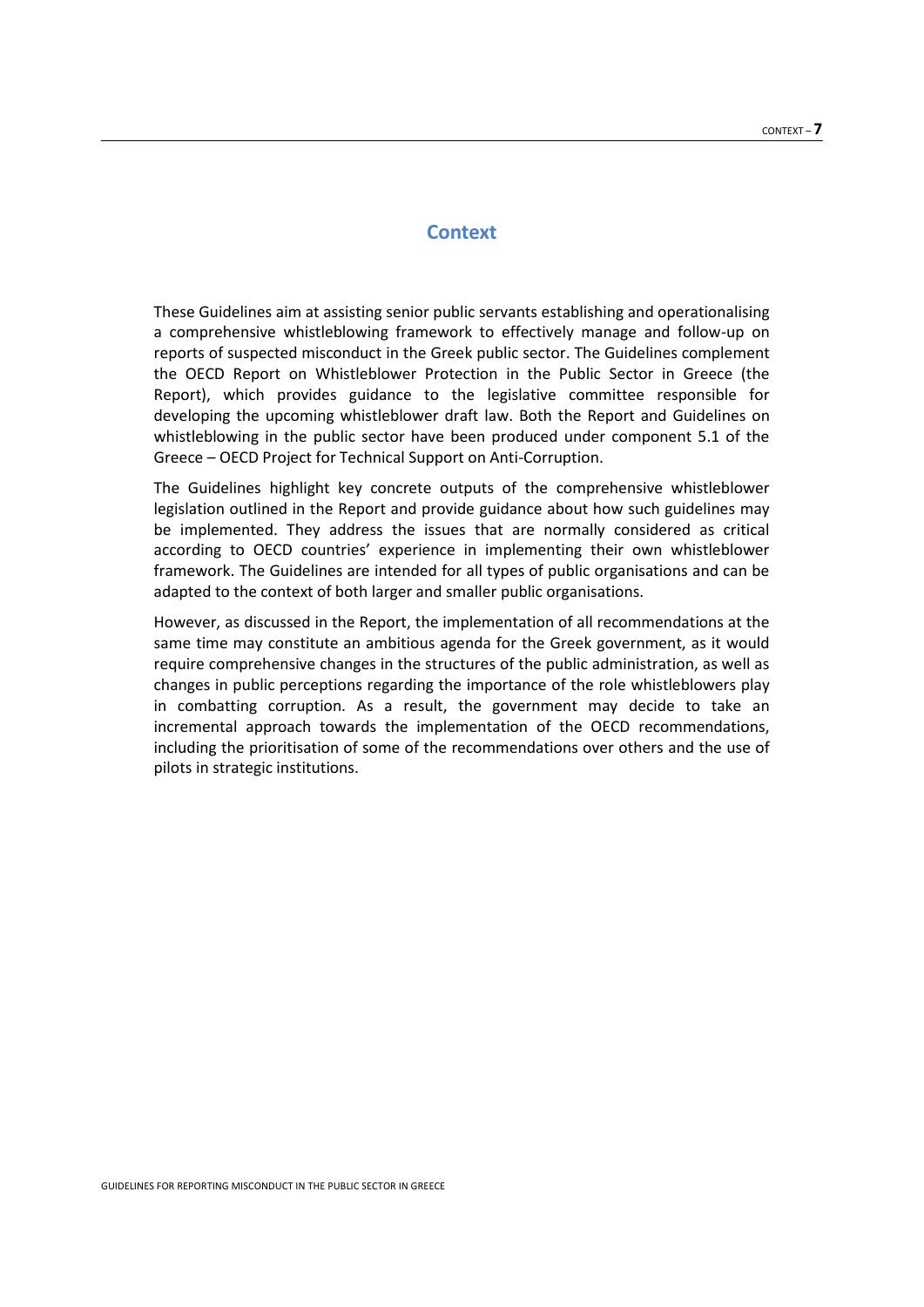# **Context**

<span id="page-6-0"></span>These Guidelines aim at assisting senior public servants establishing and operationalising a comprehensive whistleblowing framework to effectively manage and follow-up on reports of suspected misconduct in the Greek public sector. The Guidelines complement the OECD Report on Whistleblower Protection in the Public Sector in Greece (the Report), which provides guidance to the legislative committee responsible for developing the upcoming whistleblower draft law. Both the Report and Guidelines on whistleblowing in the public sector have been produced under component 5.1 of the Greece – OECD Project for Technical Support on Anti-Corruption.

The Guidelines highlight key concrete outputs of the comprehensive whistleblower legislation outlined in the Report and provide guidance about how such guidelines may be implemented. They address the issues that are normally considered as critical according to OECD countries' experience in implementing their own whistleblower framework. The Guidelines are intended for all types of public organisations and can be adapted to the context of both larger and smaller public organisations.

However, as discussed in the Report, the implementation of all recommendations at the same time may constitute an ambitious agenda for the Greek government, as it would require comprehensive changes in the structures of the public administration, as well as changes in public perceptions regarding the importance of the role whistleblowers play in combatting corruption. As a result, the government may decide to take an incremental approach towards the implementation of the OECD recommendations, including the prioritisation of some of the recommendations over others and the use of pilots in strategic institutions.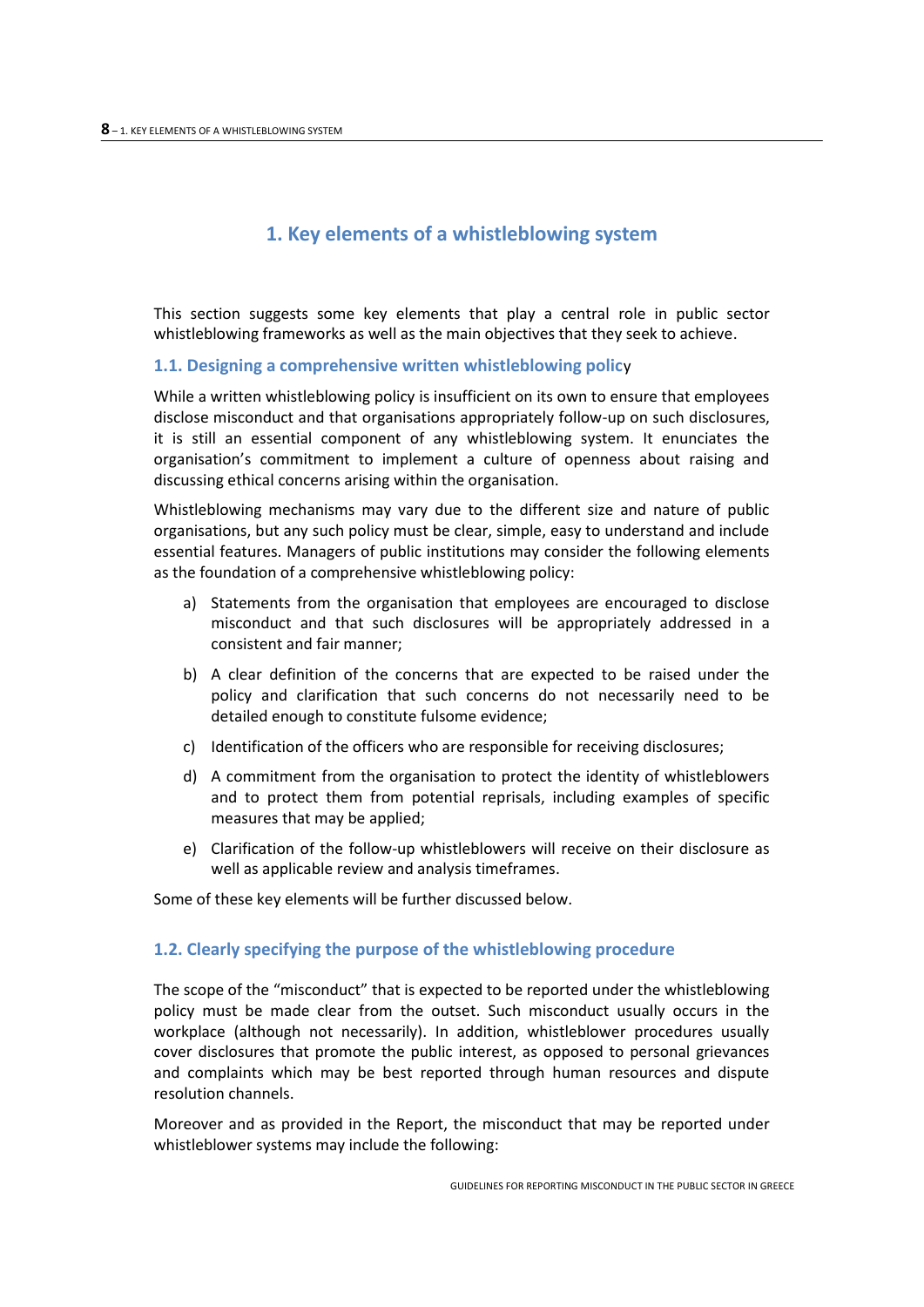# **1. Key elements of a whistleblowing system**

<span id="page-7-0"></span>This section suggests some key elements that play a central role in public sector whistleblowing frameworks as well as the main objectives that they seek to achieve.

#### <span id="page-7-1"></span>**1.1. Designing a comprehensive written whistleblowing polic**y

While a written whistleblowing policy is insufficient on its own to ensure that employees disclose misconduct and that organisations appropriately follow-up on such disclosures, it is still an essential component of any whistleblowing system. It enunciates the organisation's commitment to implement a culture of openness about raising and discussing ethical concerns arising within the organisation.

Whistleblowing mechanisms may vary due to the different size and nature of public organisations, but any such policy must be clear, simple, easy to understand and include essential features. Managers of public institutions may consider the following elements as the foundation of a comprehensive whistleblowing policy:

- a) Statements from the organisation that employees are encouraged to disclose misconduct and that such disclosures will be appropriately addressed in a consistent and fair manner;
- b) A clear definition of the concerns that are expected to be raised under the policy and clarification that such concerns do not necessarily need to be detailed enough to constitute fulsome evidence;
- c) Identification of the officers who are responsible for receiving disclosures;
- d) A commitment from the organisation to protect the identity of whistleblowers and to protect them from potential reprisals, including examples of specific measures that may be applied;
- e) Clarification of the follow-up whistleblowers will receive on their disclosure as well as applicable review and analysis timeframes.

Some of these key elements will be further discussed below.

#### <span id="page-7-2"></span>**1.2. Clearly specifying the purpose of the whistleblowing procedure**

The scope of the "misconduct" that is expected to be reported under the whistleblowing policy must be made clear from the outset. Such misconduct usually occurs in the workplace (although not necessarily). In addition, whistleblower procedures usually cover disclosures that promote the public interest, as opposed to personal grievances and complaints which may be best reported through human resources and dispute resolution channels.

Moreover and as provided in the Report, the misconduct that may be reported under whistleblower systems may include the following: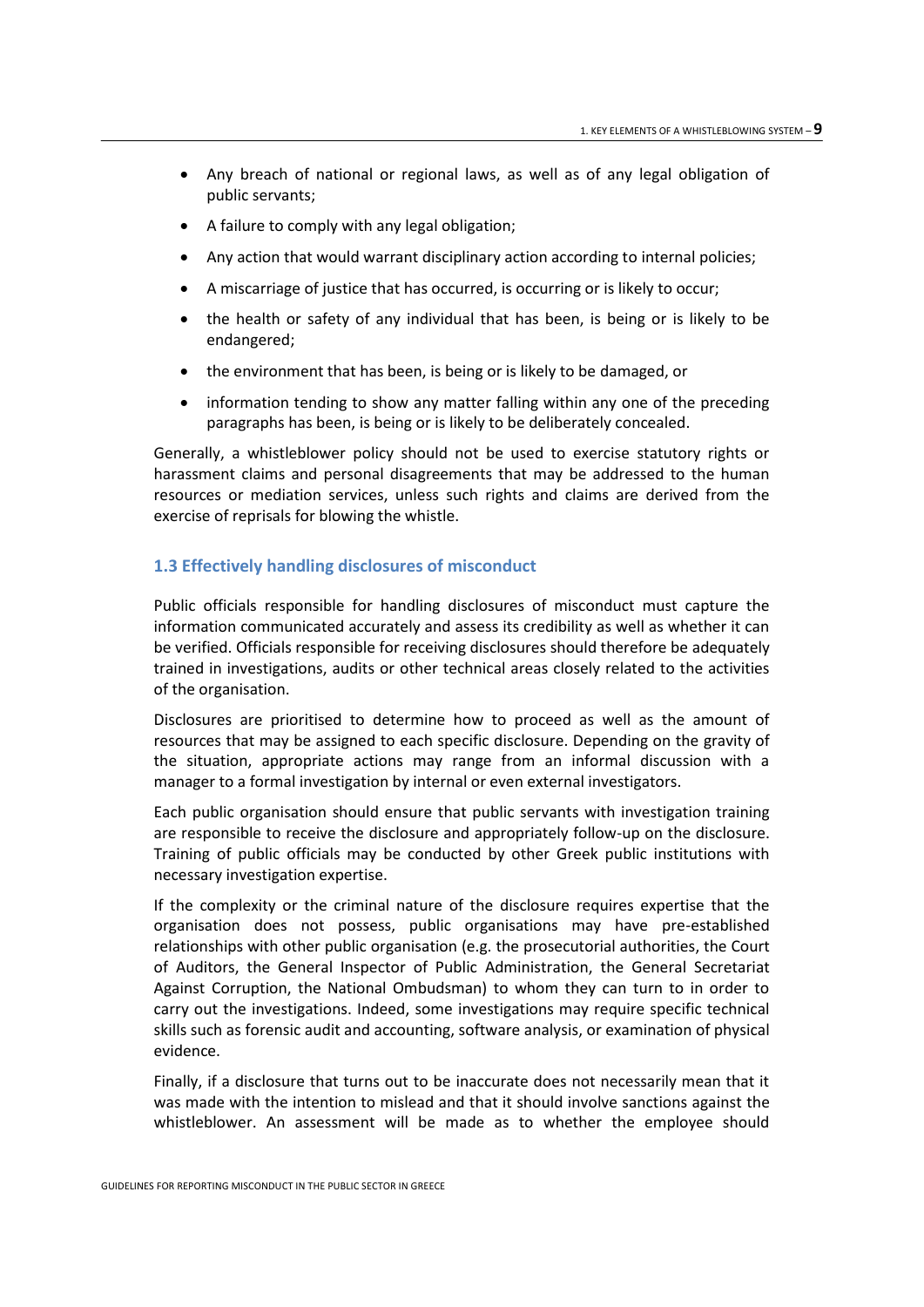- Any breach of national or regional laws, as well as of any legal obligation of public servants;
- A failure to comply with any legal obligation;
- Any action that would warrant disciplinary action according to internal policies;
- A miscarriage of justice that has occurred, is occurring or is likely to occur;
- the health or safety of any individual that has been, is being or is likely to be endangered;
- the environment that has been, is being or is likely to be damaged, or
- information tending to show any matter falling within any one of the preceding paragraphs has been, is being or is likely to be deliberately concealed.

Generally, a whistleblower policy should not be used to exercise statutory rights or harassment claims and personal disagreements that may be addressed to the human resources or mediation services, unless such rights and claims are derived from the exercise of reprisals for blowing the whistle.

## <span id="page-8-0"></span>**1.3 Effectively handling disclosures of misconduct**

Public officials responsible for handling disclosures of misconduct must capture the information communicated accurately and assess its credibility as well as whether it can be verified. Officials responsible for receiving disclosures should therefore be adequately trained in investigations, audits or other technical areas closely related to the activities of the organisation.

Disclosures are prioritised to determine how to proceed as well as the amount of resources that may be assigned to each specific disclosure. Depending on the gravity of the situation, appropriate actions may range from an informal discussion with a manager to a formal investigation by internal or even external investigators.

Each public organisation should ensure that public servants with investigation training are responsible to receive the disclosure and appropriately follow-up on the disclosure. Training of public officials may be conducted by other Greek public institutions with necessary investigation expertise.

If the complexity or the criminal nature of the disclosure requires expertise that the organisation does not possess, public organisations may have pre-established relationships with other public organisation (e.g. the prosecutorial authorities, the Court of Auditors, the General Inspector of Public Administration, the General Secretariat Against Corruption, the National Ombudsman) to whom they can turn to in order to carry out the investigations. Indeed, some investigations may require specific technical skills such as forensic audit and accounting, software analysis, or examination of physical evidence.

Finally, if a disclosure that turns out to be inaccurate does not necessarily mean that it was made with the intention to mislead and that it should involve sanctions against the whistleblower. An assessment will be made as to whether the employee should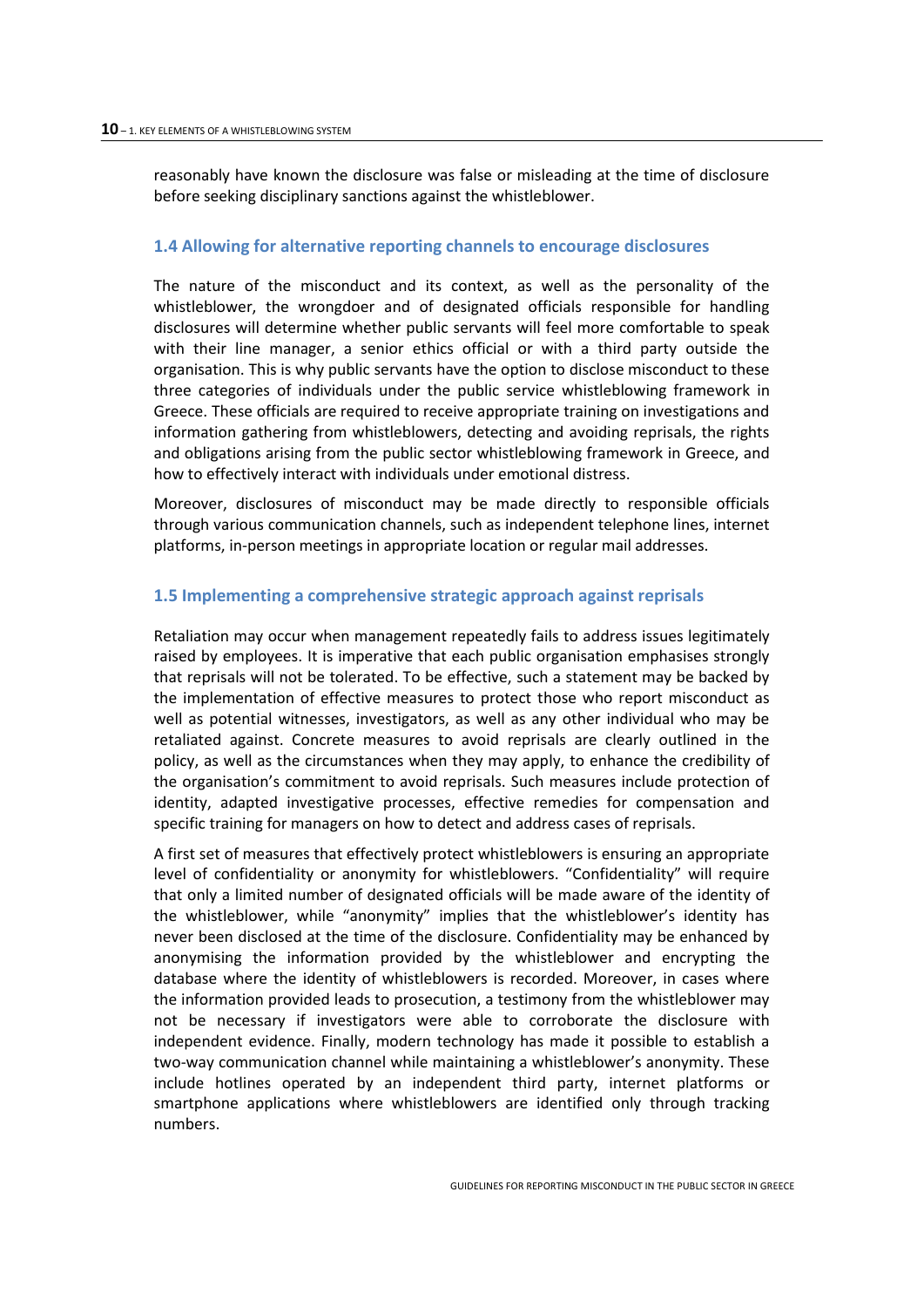reasonably have known the disclosure was false or misleading at the time of disclosure before seeking disciplinary sanctions against the whistleblower.

#### <span id="page-9-0"></span>**1.4 Allowing for alternative reporting channels to encourage disclosures**

The nature of the misconduct and its context, as well as the personality of the whistleblower, the wrongdoer and of designated officials responsible for handling disclosures will determine whether public servants will feel more comfortable to speak with their line manager, a senior ethics official or with a third party outside the organisation. This is why public servants have the option to disclose misconduct to these three categories of individuals under the public service whistleblowing framework in Greece. These officials are required to receive appropriate training on investigations and information gathering from whistleblowers, detecting and avoiding reprisals, the rights and obligations arising from the public sector whistleblowing framework in Greece, and how to effectively interact with individuals under emotional distress.

Moreover, disclosures of misconduct may be made directly to responsible officials through various communication channels, such as independent telephone lines, internet platforms, in-person meetings in appropriate location or regular mail addresses.

#### <span id="page-9-1"></span>**1.5 Implementing a comprehensive strategic approach against reprisals**

Retaliation may occur when management repeatedly fails to address issues legitimately raised by employees. It is imperative that each public organisation emphasises strongly that reprisals will not be tolerated. To be effective, such a statement may be backed by the implementation of effective measures to protect those who report misconduct as well as potential witnesses, investigators, as well as any other individual who may be retaliated against. Concrete measures to avoid reprisals are clearly outlined in the policy, as well as the circumstances when they may apply, to enhance the credibility of the organisation's commitment to avoid reprisals. Such measures include protection of identity, adapted investigative processes, effective remedies for compensation and specific training for managers on how to detect and address cases of reprisals.

A first set of measures that effectively protect whistleblowers is ensuring an appropriate level of confidentiality or anonymity for whistleblowers. "Confidentiality" will require that only a limited number of designated officials will be made aware of the identity of the whistleblower, while "anonymity" implies that the whistleblower's identity has never been disclosed at the time of the disclosure. Confidentiality may be enhanced by anonymising the information provided by the whistleblower and encrypting the database where the identity of whistleblowers is recorded. Moreover, in cases where the information provided leads to prosecution, a testimony from the whistleblower may not be necessary if investigators were able to corroborate the disclosure with independent evidence. Finally, modern technology has made it possible to establish a two-way communication channel while maintaining a whistleblower's anonymity. These include hotlines operated by an independent third party, internet platforms or smartphone applications where whistleblowers are identified only through tracking numbers.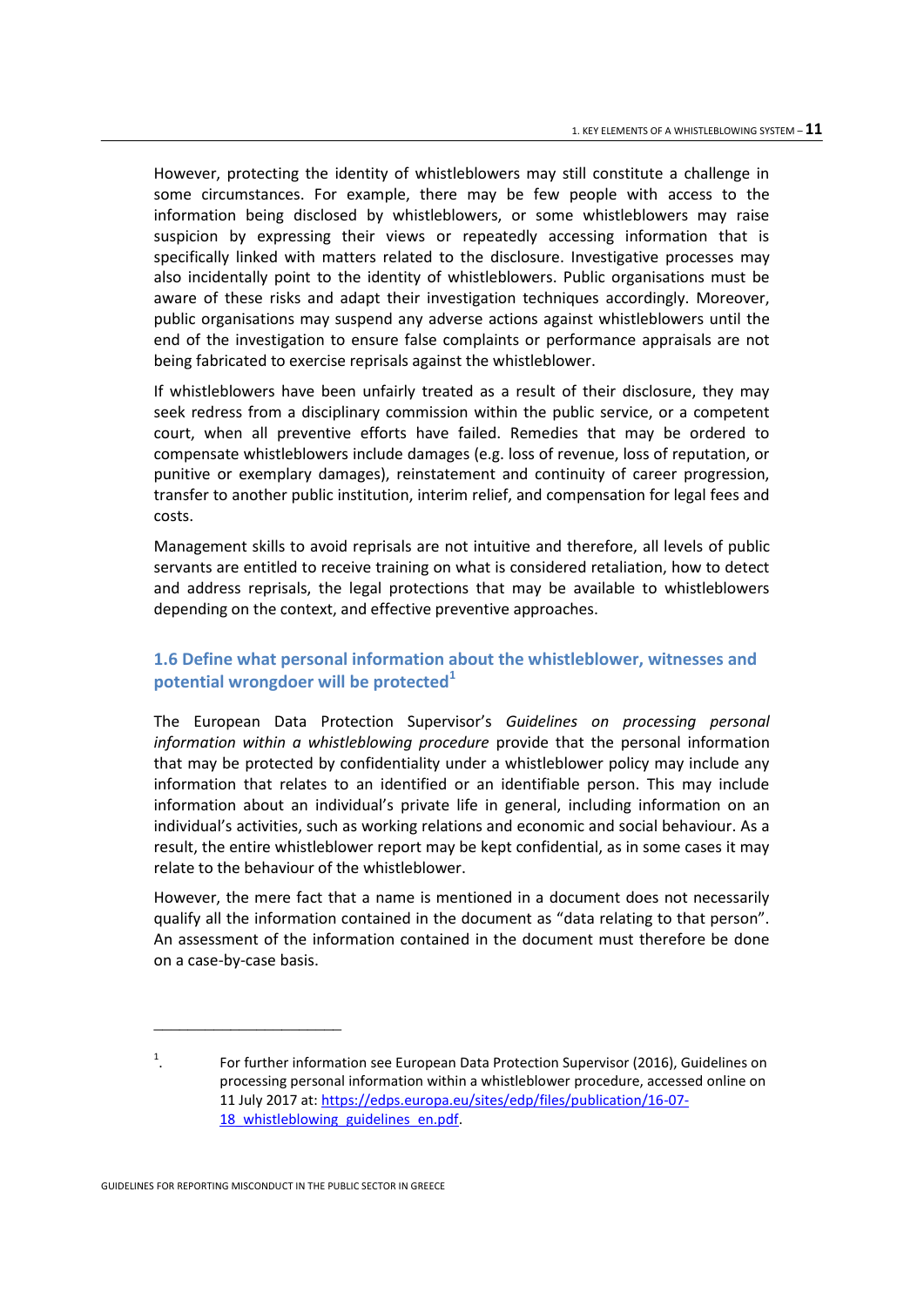However, protecting the identity of whistleblowers may still constitute a challenge in some circumstances. For example, there may be few people with access to the information being disclosed by whistleblowers, or some whistleblowers may raise suspicion by expressing their views or repeatedly accessing information that is specifically linked with matters related to the disclosure. Investigative processes may also incidentally point to the identity of whistleblowers. Public organisations must be aware of these risks and adapt their investigation techniques accordingly. Moreover, public organisations may suspend any adverse actions against whistleblowers until the end of the investigation to ensure false complaints or performance appraisals are not being fabricated to exercise reprisals against the whistleblower.

If whistleblowers have been unfairly treated as a result of their disclosure, they may seek redress from a disciplinary commission within the public service, or a competent court, when all preventive efforts have failed. Remedies that may be ordered to compensate whistleblowers include damages (e.g. loss of revenue, loss of reputation, or punitive or exemplary damages), reinstatement and continuity of career progression, transfer to another public institution, interim relief, and compensation for legal fees and costs.

Management skills to avoid reprisals are not intuitive and therefore, all levels of public servants are entitled to receive training on what is considered retaliation, how to detect and address reprisals, the legal protections that may be available to whistleblowers depending on the context, and effective preventive approaches.

# <span id="page-10-0"></span>**1.6 Define what personal information about the whistleblower, witnesses and potential wrongdoer will be protected<sup>1</sup>**

The European Data Protection Supervisor's *Guidelines on processing personal information within a whistleblowing procedure* provide that the personal information that may be protected by confidentiality under a whistleblower policy may include any information that relates to an identified or an identifiable person. This may include information about an individual's private life in general, including information on an individual's activities, such as working relations and economic and social behaviour. As a result, the entire whistleblower report may be kept confidential, as in some cases it may relate to the behaviour of the whistleblower.

However, the mere fact that a name is mentioned in a document does not necessarily qualify all the information contained in the document as "data relating to that person". An assessment of the information contained in the document must therefore be done on a case-by-case basis.

\_\_\_\_\_\_\_\_\_\_\_\_\_\_\_\_\_\_\_\_\_\_

<sup>1</sup> . For further information see European Data Protection Supervisor (2016), Guidelines on processing personal information within a whistleblower procedure, accessed online on 11 July 2017 at: [https://edps.europa.eu/sites/edp/files/publication/16-07-](https://edps.europa.eu/sites/edp/files/publication/16-07-18_whistleblowing_guidelines_en.pdf) 18 whistleblowing guidelines en.pdf.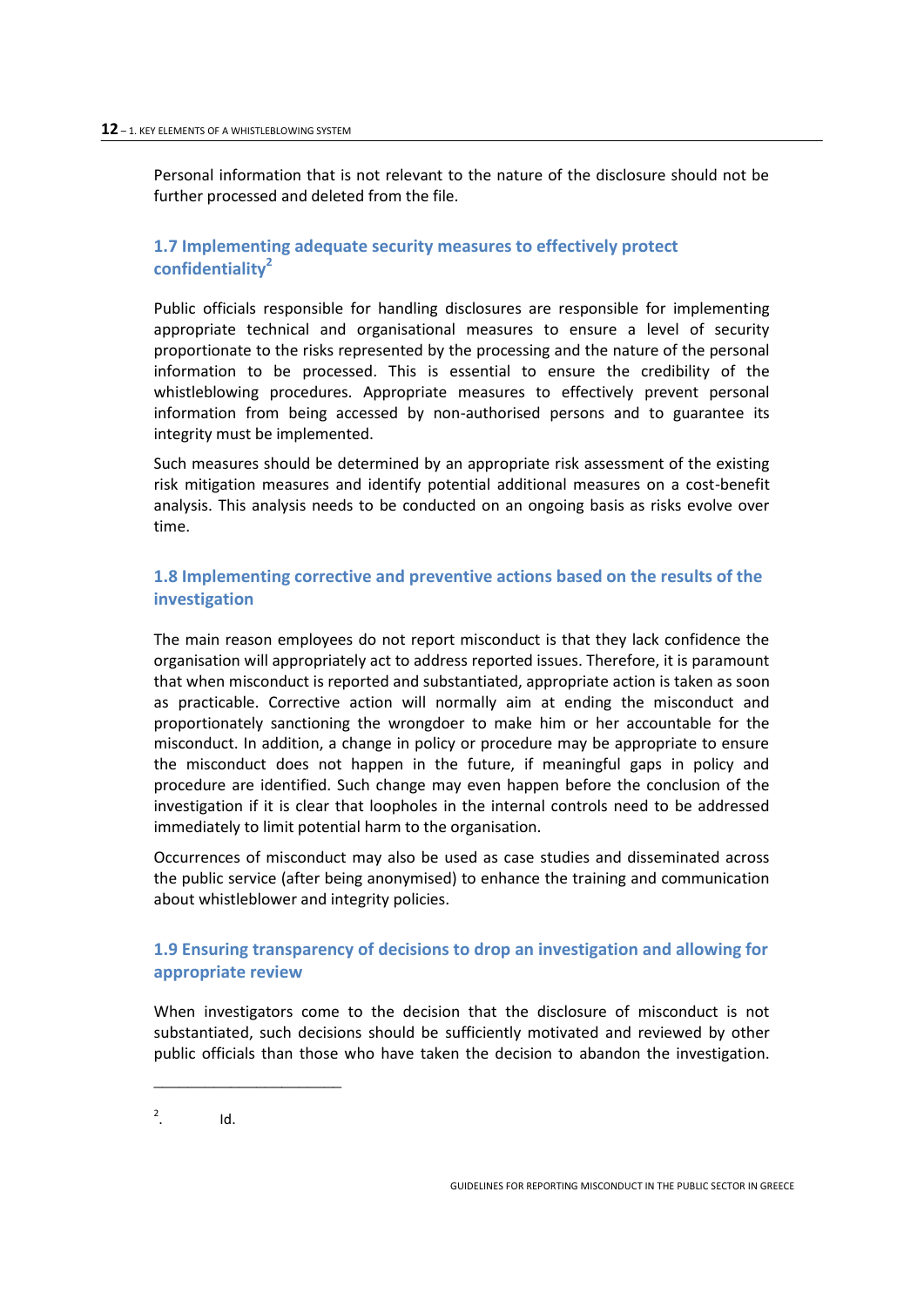Personal information that is not relevant to the nature of the disclosure should not be further processed and deleted from the file.

# <span id="page-11-0"></span>**1.7 Implementing adequate security measures to effectively protect confidentiality<sup>2</sup>**

Public officials responsible for handling disclosures are responsible for implementing appropriate technical and organisational measures to ensure a level of security proportionate to the risks represented by the processing and the nature of the personal information to be processed. This is essential to ensure the credibility of the whistleblowing procedures. Appropriate measures to effectively prevent personal information from being accessed by non-authorised persons and to guarantee its integrity must be implemented.

Such measures should be determined by an appropriate risk assessment of the existing risk mitigation measures and identify potential additional measures on a cost-benefit analysis. This analysis needs to be conducted on an ongoing basis as risks evolve over time.

# <span id="page-11-1"></span>**1.8 Implementing corrective and preventive actions based on the results of the investigation**

The main reason employees do not report misconduct is that they lack confidence the organisation will appropriately act to address reported issues. Therefore, it is paramount that when misconduct is reported and substantiated, appropriate action is taken as soon as practicable. Corrective action will normally aim at ending the misconduct and proportionately sanctioning the wrongdoer to make him or her accountable for the misconduct. In addition, a change in policy or procedure may be appropriate to ensure the misconduct does not happen in the future, if meaningful gaps in policy and procedure are identified. Such change may even happen before the conclusion of the investigation if it is clear that loopholes in the internal controls need to be addressed immediately to limit potential harm to the organisation.

Occurrences of misconduct may also be used as case studies and disseminated across the public service (after being anonymised) to enhance the training and communication about whistleblower and integrity policies.

# <span id="page-11-2"></span>**1.9 Ensuring transparency of decisions to drop an investigation and allowing for appropriate review**

When investigators come to the decision that the disclosure of misconduct is not substantiated, such decisions should be sufficiently motivated and reviewed by other public officials than those who have taken the decision to abandon the investigation.

2 . Id.

\_\_\_\_\_\_\_\_\_\_\_\_\_\_\_\_\_\_\_\_\_\_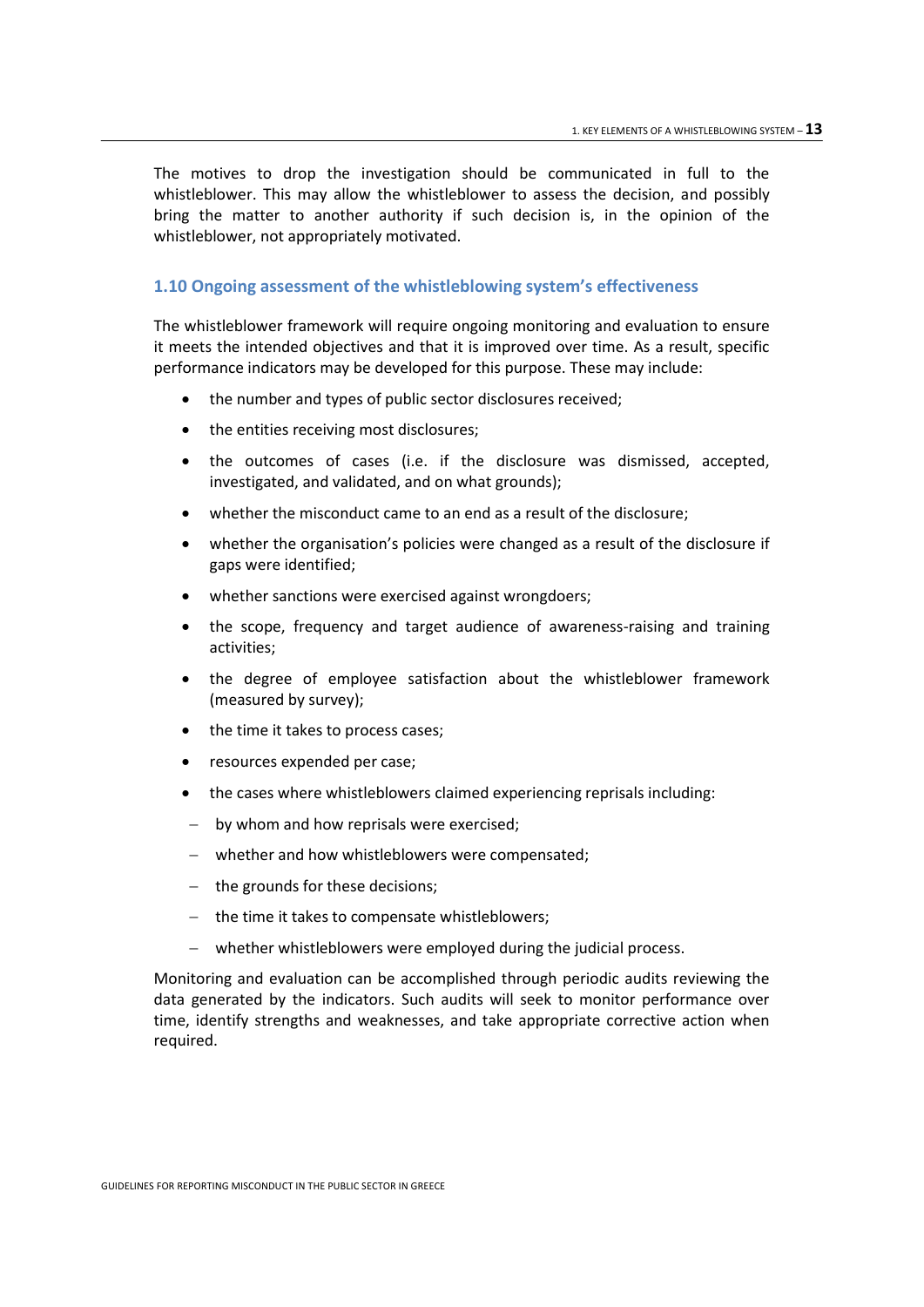The motives to drop the investigation should be communicated in full to the whistleblower. This may allow the whistleblower to assess the decision, and possibly bring the matter to another authority if such decision is, in the opinion of the whistleblower, not appropriately motivated.

#### <span id="page-12-0"></span>**1.10 Ongoing assessment of the whistleblowing system's effectiveness**

The whistleblower framework will require ongoing monitoring and evaluation to ensure it meets the intended objectives and that it is improved over time. As a result, specific performance indicators may be developed for this purpose. These may include:

- the number and types of public sector disclosures received;
- the entities receiving most disclosures;
- the outcomes of cases (i.e. if the disclosure was dismissed, accepted, investigated, and validated, and on what grounds);
- whether the misconduct came to an end as a result of the disclosure;
- whether the organisation's policies were changed as a result of the disclosure if gaps were identified;
- whether sanctions were exercised against wrongdoers;
- the scope, frequency and target audience of awareness-raising and training activities;
- the degree of employee satisfaction about the whistleblower framework (measured by survey);
- the time it takes to process cases;
- resources expended per case;
- the cases where whistleblowers claimed experiencing reprisals including:
- by whom and how reprisals were exercised;
- whether and how whistleblowers were compensated;
- the grounds for these decisions;
- $-$  the time it takes to compensate whistleblowers;
- whether whistleblowers were employed during the judicial process.

Monitoring and evaluation can be accomplished through periodic audits reviewing the data generated by the indicators. Such audits will seek to monitor performance over time, identify strengths and weaknesses, and take appropriate corrective action when required.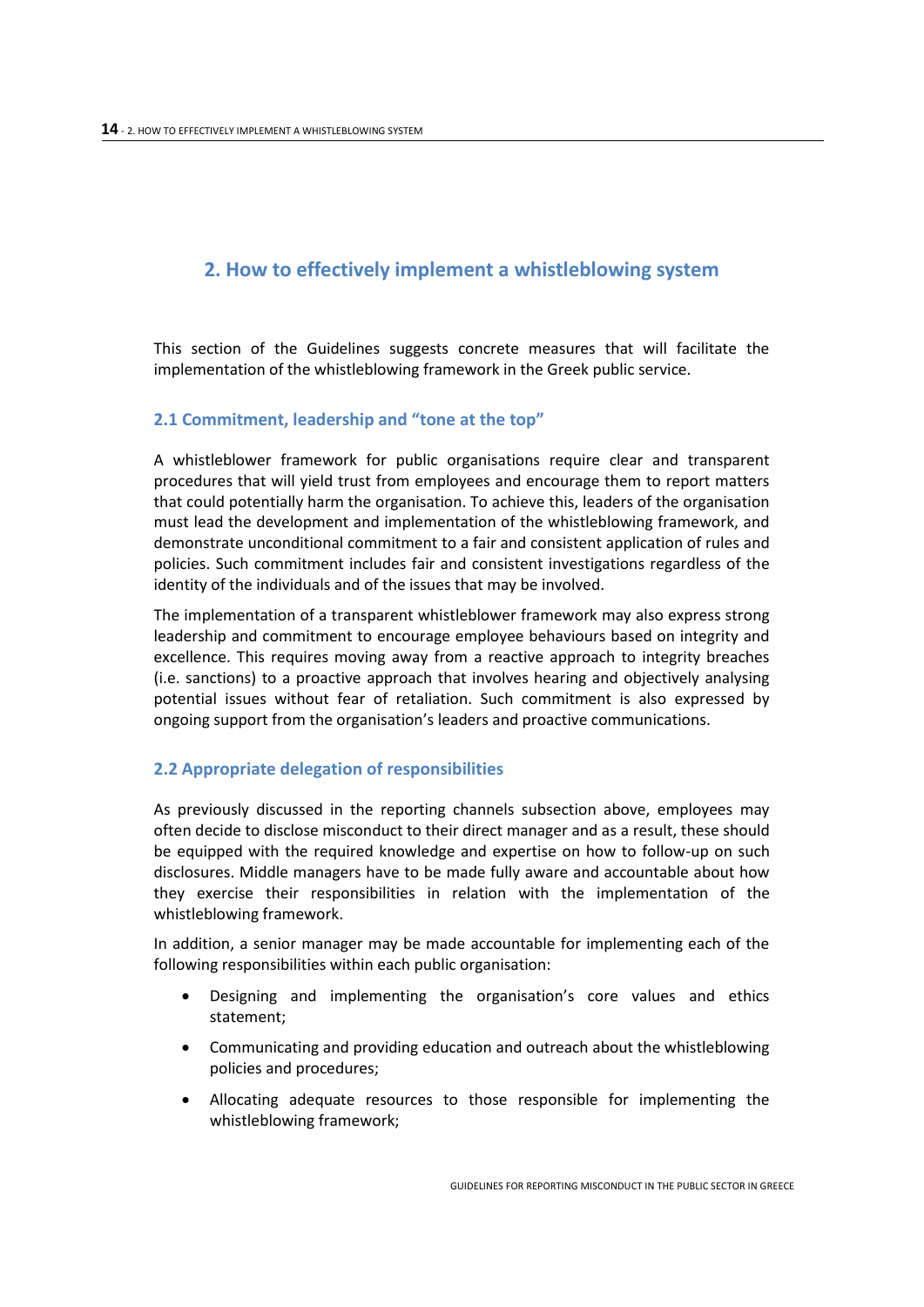# <span id="page-13-0"></span>**2. How to effectively implement a whistleblowing system**

This section of the Guidelines suggests concrete measures that will facilitate the implementation of the whistleblowing framework in the Greek public service.

# <span id="page-13-1"></span>**2.1 Commitment, leadership and "tone at the top"**

A whistleblower framework for public organisations require clear and transparent procedures that will yield trust from employees and encourage them to report matters that could potentially harm the organisation. To achieve this, leaders of the organisation must lead the development and implementation of the whistleblowing framework, and demonstrate unconditional commitment to a fair and consistent application of rules and policies. Such commitment includes fair and consistent investigations regardless of the identity of the individuals and of the issues that may be involved.

The implementation of a transparent whistleblower framework may also express strong leadership and commitment to encourage employee behaviours based on integrity and excellence. This requires moving away from a reactive approach to integrity breaches (i.e. sanctions) to a proactive approach that involves hearing and objectively analysing potential issues without fear of retaliation. Such commitment is also expressed by ongoing support from the organisation's leaders and proactive communications.

# <span id="page-13-2"></span>**2.2 Appropriate delegation of responsibilities**

As previously discussed in the reporting channels subsection above, employees may often decide to disclose misconduct to their direct manager and as a result, these should be equipped with the required knowledge and expertise on how to follow-up on such disclosures. Middle managers have to be made fully aware and accountable about how they exercise their responsibilities in relation with the implementation of the whistleblowing framework.

In addition, a senior manager may be made accountable for implementing each of the following responsibilities within each public organisation:

- Designing and implementing the organisation's core values and ethics statement;
- Communicating and providing education and outreach about the whistleblowing policies and procedures;
- Allocating adequate resources to those responsible for implementing the whistleblowing framework;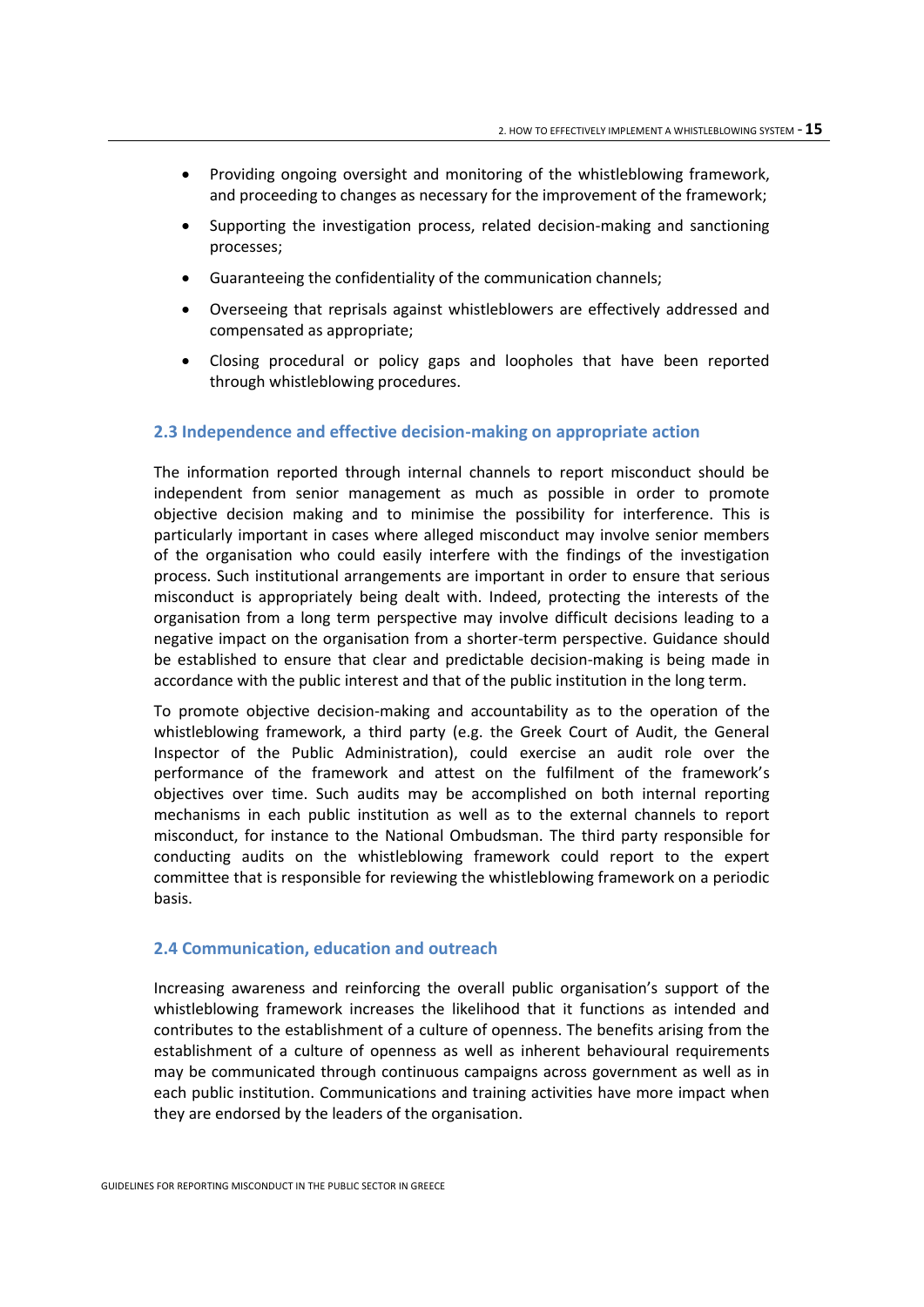- Providing ongoing oversight and monitoring of the whistleblowing framework, and proceeding to changes as necessary for the improvement of the framework;
- Supporting the investigation process, related decision-making and sanctioning processes;
- Guaranteeing the confidentiality of the communication channels;
- Overseeing that reprisals against whistleblowers are effectively addressed and compensated as appropriate;
- Closing procedural or policy gaps and loopholes that have been reported through whistleblowing procedures.

#### <span id="page-14-0"></span>**2.3 Independence and effective decision-making on appropriate action**

The information reported through internal channels to report misconduct should be independent from senior management as much as possible in order to promote objective decision making and to minimise the possibility for interference. This is particularly important in cases where alleged misconduct may involve senior members of the organisation who could easily interfere with the findings of the investigation process. Such institutional arrangements are important in order to ensure that serious misconduct is appropriately being dealt with. Indeed, protecting the interests of the organisation from a long term perspective may involve difficult decisions leading to a negative impact on the organisation from a shorter-term perspective. Guidance should be established to ensure that clear and predictable decision-making is being made in accordance with the public interest and that of the public institution in the long term.

To promote objective decision-making and accountability as to the operation of the whistleblowing framework, a third party (e.g. the Greek Court of Audit, the General Inspector of the Public Administration), could exercise an audit role over the performance of the framework and attest on the fulfilment of the framework's objectives over time. Such audits may be accomplished on both internal reporting mechanisms in each public institution as well as to the external channels to report misconduct, for instance to the National Ombudsman. The third party responsible for conducting audits on the whistleblowing framework could report to the expert committee that is responsible for reviewing the whistleblowing framework on a periodic basis.

#### <span id="page-14-1"></span>**2.4 Communication, education and outreach**

Increasing awareness and reinforcing the overall public organisation's support of the whistleblowing framework increases the likelihood that it functions as intended and contributes to the establishment of a culture of openness. The benefits arising from the establishment of a culture of openness as well as inherent behavioural requirements may be communicated through continuous campaigns across government as well as in each public institution. Communications and training activities have more impact when they are endorsed by the leaders of the organisation.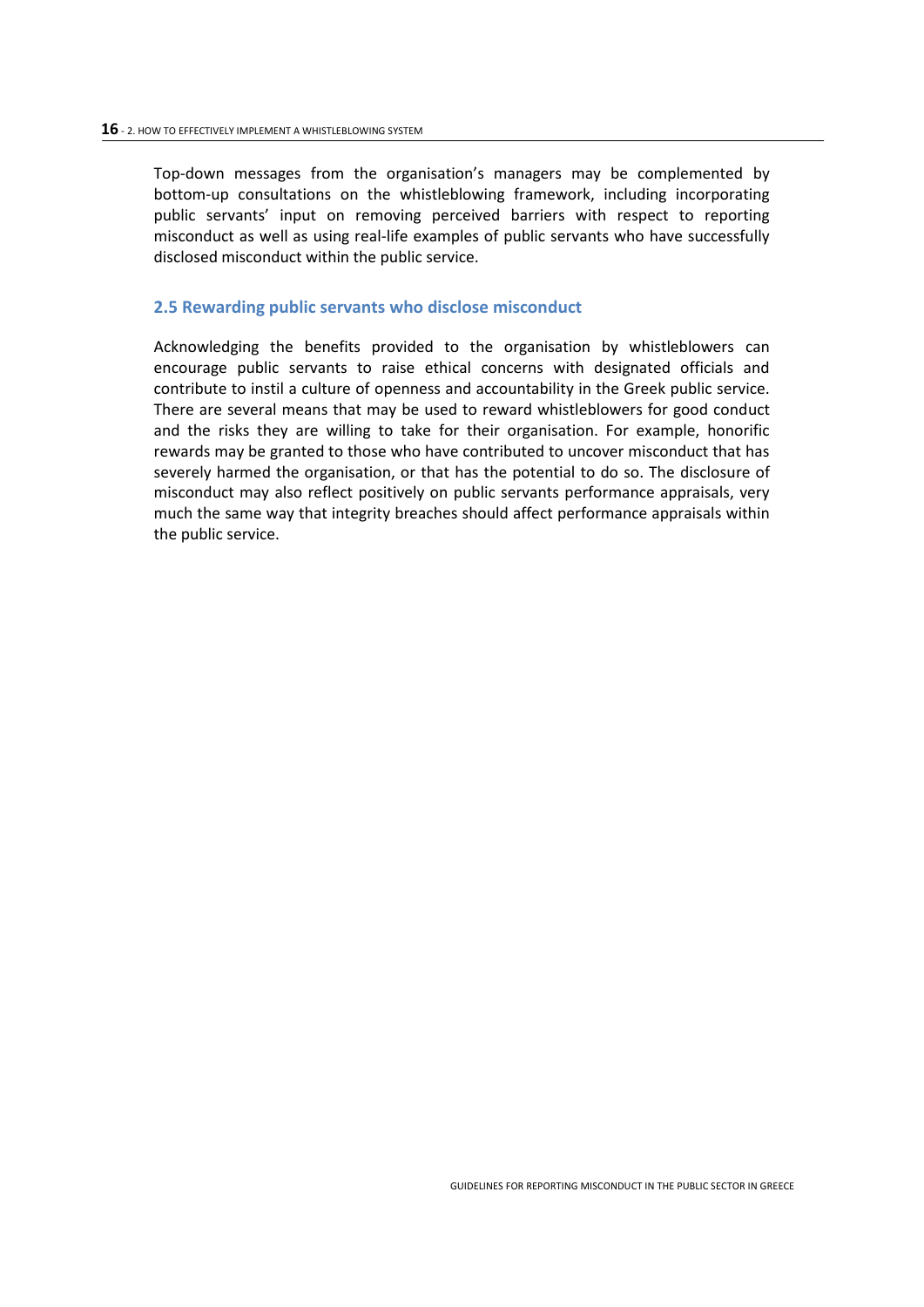Top-down messages from the organisation's managers may be complemented by bottom-up consultations on the whistleblowing framework, including incorporating public servants' input on removing perceived barriers with respect to reporting misconduct as well as using real-life examples of public servants who have successfully disclosed misconduct within the public service.

#### <span id="page-15-0"></span>**2.5 Rewarding public servants who disclose misconduct**

Acknowledging the benefits provided to the organisation by whistleblowers can encourage public servants to raise ethical concerns with designated officials and contribute to instil a culture of openness and accountability in the Greek public service. There are several means that may be used to reward whistleblowers for good conduct and the risks they are willing to take for their organisation. For example, honorific rewards may be granted to those who have contributed to uncover misconduct that has severely harmed the organisation, or that has the potential to do so. The disclosure of misconduct may also reflect positively on public servants performance appraisals, very much the same way that integrity breaches should affect performance appraisals within the public service.